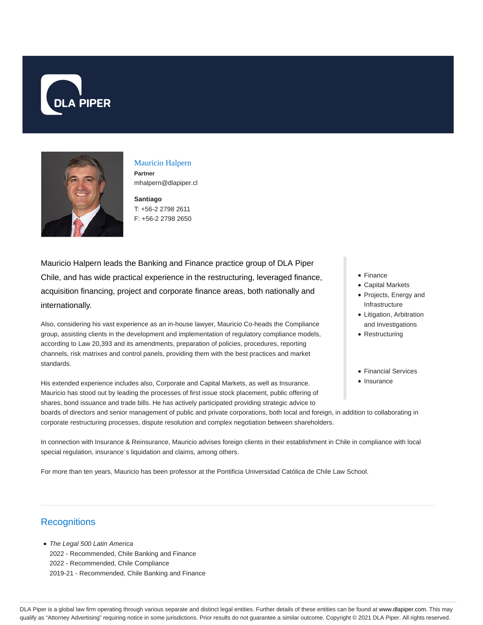



Mauricio Halpern **Partner** mhalpern@dlapiper.cl

**Santiago** T: +56-2 2798 2611 F: +56-2 2798 2650

Mauricio Halpern leads the Banking and Finance practice group of DLA Piper Chile, and has wide practical experience in the restructuring, leveraged finance, acquisition financing, project and corporate finance areas, both nationally and internationally.

Also, considering his vast experience as an in-house lawyer, Mauricio Co-heads the Compliance group, assisting clients in the development and implementation of regulatory compliance models, according to Law 20,393 and its amendments, preparation of policies, procedures, reporting channels, risk matrixes and control panels, providing them with the best practices and market standards.

His extended experience includes also, Corporate and Capital Markets, as well as Insurance. Mauricio has stood out by leading the processes of first issue stock placement, public offering of shares, bond issuance and trade bills. He has actively participated providing strategic advice to

- Finance
- Capital Markets
- Projects, Energy and Infrastructure
- Litigation, Arbitration and Investigations
- Restructuring
- Financial Services
- Insurance

boards of directors and senior management of public and private corporations, both local and foreign, in addition to collaborating in corporate restructuring processes, dispute resolution and complex negotiation between shareholders.

In connection with Insurance & Reinsurance, Mauricio advises foreign clients in their establishment in Chile in compliance with local special regulation, insurance´s liquidation and claims, among others.

For more than ten years, Mauricio has been professor at the Pontificia Universidad Católica de Chile Law School.

## **Recognitions**

• The Legal 500 Latin America 2022 - Recommended, Chile Banking and Finance 2022 - Recommended, Chile Compliance 2019-21 - Recommended, Chile Banking and Finance